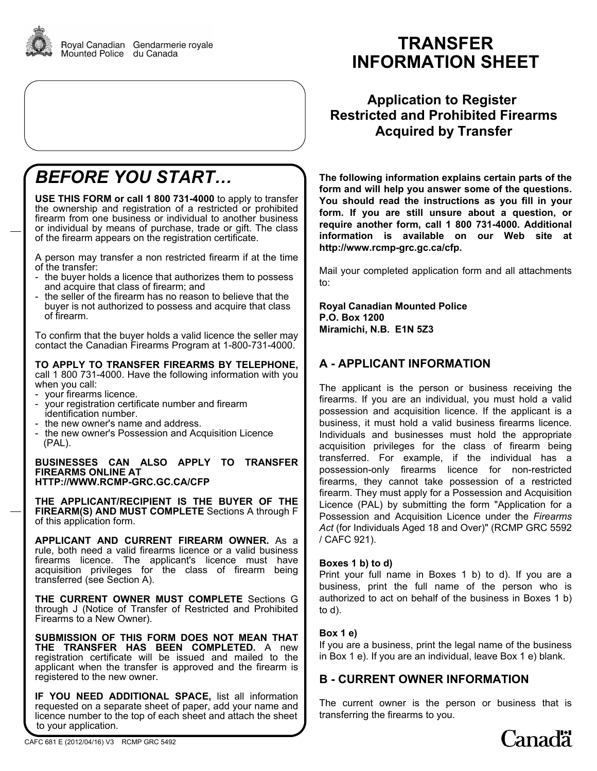

# *BEFORE YOU START…*

**USE THIS FORM or call 1 800 731-4000** to apply to transfer the ownership and registration of a restricted or prohibited firearm from one business or individual to another business or individual by means of purchase, trade or gift. The class of the firearm appears on the registration certificate.

A person may transfer a non restricted firearm if at the time of the transfer:

- the buyer holds a licence that authorizes them to possess and acquire that class of firearm; and
- the seller of the firearm has no reason to believe that the buyer is not authorized to possess and acquire that class of firearm.

To confirm that the buyer holds a valid licence the seller may contact the Canadian Firearms Program at 1-800-731-4000.

### **TO APPLY TO TRANSFER FIREARMS BY TELEPHONE,**

call 1 800 731-4000. Have the following information with you when you call:

- your firearms licence.
- your registration certificate number and firearm identification number.
- the new owner's name and address.
- the new owner's Possession and Acquisition Licence (PAL).

#### **BUSINESSES CAN ALSO APPLY TO TRANSFER FIREARMS ONLINE AT HTTP://WWW.RCMP-GRC.GC.CA/CFP**

**THE APPLICANT/RECIPIENT IS THE BUYER OF THE FIREARM(S) AND MUST COMPLETE** Sections A through F of this application form.

**APPLICANT AND CURRENT FIREARM OWNER.** As a rule, both need a valid firearms licence or a valid business firearms licence. The applicant's licence must have acquisition privileges for the class of firearm being transferred (see Section A).

**THE CURRENT OWNER MUST COMPLETE** Sections G through J (Notice of Transfer of Restricted and Prohibited Firearms to a New Owner).

**SUBMISSION OF THIS FORM DOES NOT MEAN THAT THE TRANSFER HAS BEEN COMPLETED.** A new registration certificate will be issued and mailed to the applicant when the transfer is approved and the firearm is registered to the new owner.

**IF YOU NEED ADDITIONAL SPACE,** list all information requested on a separate sheet of paper, add your name and licence number to the top of each sheet and attach the sheet to your application.

# **TRANSFER INFORMATION SHEET**

**Application to Register Restricted and Prohibited Firearms Acquired by Transfer**

**The following information explains certain parts of the form and will help you answer some of the questions. You should read the instructions as you fill in your form. If you are still unsure about a question, or require another form, call 1 800 731-4000. Additional information is available on our Web site at http://www.rcmp-grc.gc.ca/cfp.**

Mail your completed application form and all attachments to:

**Royal Canadian Mounted Police P.O. Box 1200 Miramichi, N.B. E1N 5Z3**

# **A - APPLICANT INFORMATION**

The applicant is the person or business receiving the firearms. If you are an individual, you must hold a valid possession and acquisition licence. If the applicant is a business, it must hold a valid business firearms licence. Individuals and businesses must hold the appropriate acquisition privileges for the class of firearm being transferred. For example, if the individual has a possession-only firearms licence for non-restricted firearms, they cannot take possession of a restricted firearm. They must apply for a Possession and Acquisition Licence (PAL) by submitting the form "Application for a Possession and Acquisition Licence under the *Firearms Act* (for Individuals Aged 18 and Over)" (RCMP GRC 5592 / CAFC 921).

### **Boxes 1 b) to d)**

Print your full name in Boxes 1 b) to d). If you are a business, print the full name of the person who is authorized to act on behalf of the business in Boxes 1 b) to d).

### **Box 1 e)**

If you are a business, print the legal name of the business in Box 1 e). If you are an individual, leave Box 1 e) blank.

### **B - CURRENT OWNER INFORMATION**

The current owner is the person or business that is transferring the firearms to you.

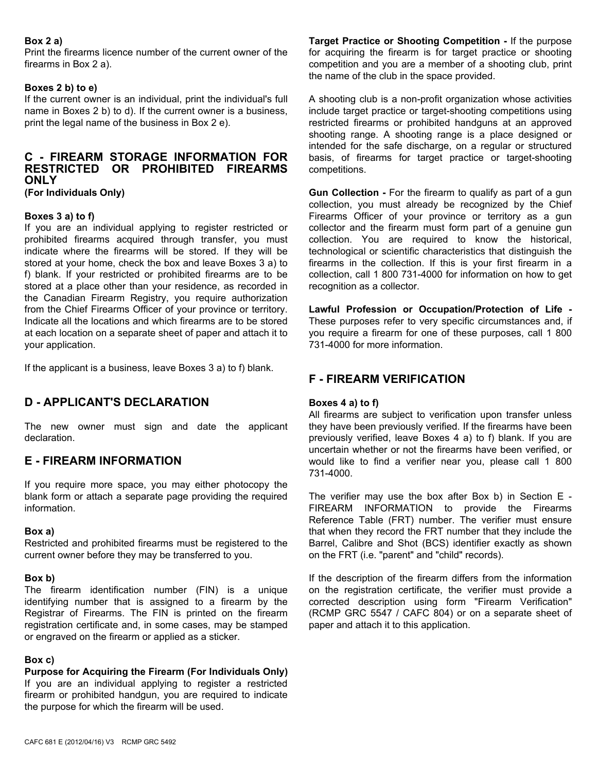### **Box 2 a)**

Print the firearms licence number of the current owner of the firearms in Box 2 a).

#### **Boxes 2 b) to e)**

If the current owner is an individual, print the individual's full name in Boxes 2 b) to d). If the current owner is a business, print the legal name of the business in Box 2 e).

# **C - FIREARM STORAGE INFORMATION FOR RESTRICTED OR PROHIBITED FIREARMS ONLY**

**(For Individuals Only)** 

#### **Boxes 3 a) to f)**

If you are an individual applying to register restricted or prohibited firearms acquired through transfer, you must indicate where the firearms will be stored. If they will be stored at your home, check the box and leave Boxes 3 a) to f) blank. If your restricted or prohibited firearms are to be stored at a place other than your residence, as recorded in the Canadian Firearm Registry, you require authorization from the Chief Firearms Officer of your province or territory. Indicate all the locations and which firearms are to be stored at each location on a separate sheet of paper and attach it to your application.

If the applicant is a business, leave Boxes 3 a) to f) blank.

### **D - APPLICANT'S DECLARATION**

The new owner must sign and date the applicant declaration.

### **E - FIREARM INFORMATION**

If you require more space, you may either photocopy the blank form or attach a separate page providing the required information.

#### **Box a)**

Restricted and prohibited firearms must be registered to the current owner before they may be transferred to you.

#### **Box b)**

The firearm identification number (FIN) is a unique identifying number that is assigned to a firearm by the Registrar of Firearms. The FIN is printed on the firearm registration certificate and, in some cases, may be stamped or engraved on the firearm or applied as a sticker.

#### **Box c)**

**Purpose for Acquiring the Firearm (For Individuals Only)** If you are an individual applying to register a restricted firearm or prohibited handgun, you are required to indicate the purpose for which the firearm will be used.

**Target Practice or Shooting Competition -** If the purpose for acquiring the firearm is for target practice or shooting competition and you are a member of a shooting club, print the name of the club in the space provided.

A shooting club is a non-profit organization whose activities include target practice or target-shooting competitions using restricted firearms or prohibited handguns at an approved shooting range. A shooting range is a place designed or intended for the safe discharge, on a regular or structured basis, of firearms for target practice or target-shooting competitions.

**Gun Collection -** For the firearm to qualify as part of a gun collection, you must already be recognized by the Chief Firearms Officer of your province or territory as a gun collector and the firearm must form part of a genuine gun collection. You are required to know the historical, technological or scientific characteristics that distinguish the firearms in the collection. If this is your first firearm in a collection, call 1 800 731-4000 for information on how to get recognition as a collector.

**Lawful Profession or Occupation/Protection of Life -** These purposes refer to very specific circumstances and, if you require a firearm for one of these purposes, call 1 800 731-4000 for more information.

### **F - FIREARM VERIFICATION**

#### **Boxes 4 a) to f)**

All firearms are subject to verification upon transfer unless they have been previously verified. If the firearms have been previously verified, leave Boxes 4 a) to f) blank. If you are uncertain whether or not the firearms have been verified, or would like to find a verifier near you, please call 1 800 731-4000.

The verifier may use the box after Box b) in Section E - FIREARM INFORMATION to provide the Firearms Reference Table (FRT) number. The verifier must ensure that when they record the FRT number that they include the Barrel, Calibre and Shot (BCS) identifier exactly as shown on the FRT (i.e. "parent" and "child" records).

If the description of the firearm differs from the information on the registration certificate, the verifier must provide a corrected description using form "Firearm Verification" (RCMP GRC 5547 / CAFC 804) or on a separate sheet of paper and attach it to this application.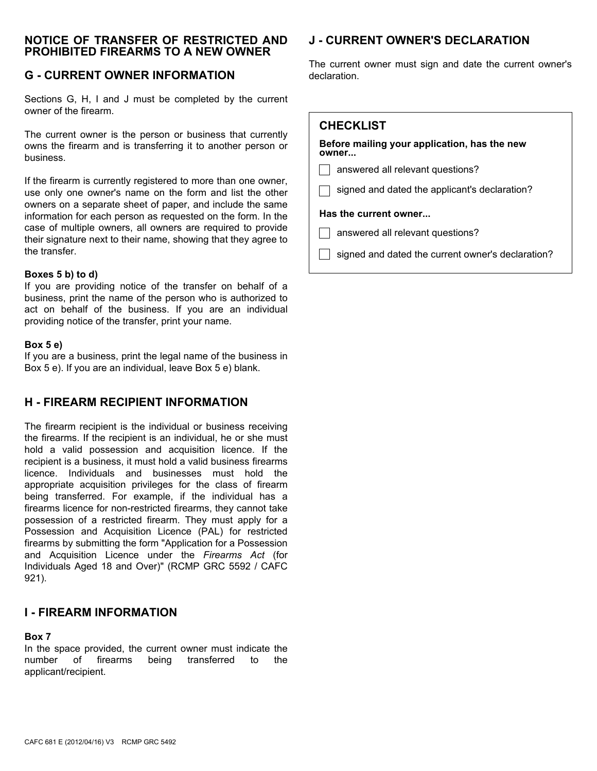### **NOTICE OF TRANSFER OF RESTRICTED AND PROHIBITED FIREARMS TO A NEW OWNER**

# **G - CURRENT OWNER INFORMATION**

Sections G, H, I and J must be completed by the current owner of the firearm.

The current owner is the person or business that currently owns the firearm and is transferring it to another person or business.

If the firearm is currently registered to more than one owner, use only one owner's name on the form and list the other owners on a separate sheet of paper, and include the same information for each person as requested on the form. In the case of multiple owners, all owners are required to provide their signature next to their name, showing that they agree to the transfer.

#### **Boxes 5 b) to d)**

If you are providing notice of the transfer on behalf of a business, print the name of the person who is authorized to act on behalf of the business. If you are an individual providing notice of the transfer, print your name.

#### **Box 5 e)**

If you are a business, print the legal name of the business in Box 5 e). If you are an individual, leave Box 5 e) blank.

### **H - FIREARM RECIPIENT INFORMATION**

The firearm recipient is the individual or business receiving the firearms. If the recipient is an individual, he or she must hold a valid possession and acquisition licence. If the recipient is a business, it must hold a valid business firearms licence. Individuals and businesses must hold the appropriate acquisition privileges for the class of firearm being transferred. For example, if the individual has a firearms licence for non-restricted firearms, they cannot take possession of a restricted firearm. They must apply for a Possession and Acquisition Licence (PAL) for restricted firearms by submitting the form "Application for a Possession and Acquisition Licence under the *Firearms Act* (for Individuals Aged 18 and Over)" (RCMP GRC 5592 / CAFC 921).

### **I - FIREARM INFORMATION**

### **Box 7**

In the space provided, the current owner must indicate the number of firearms being transferred to the applicant/recipient.

# **J - CURRENT OWNER'S DECLARATION**

The current owner must sign and date the current owner's declaration.

| <b>CHECKLIST</b>                                      |
|-------------------------------------------------------|
| Before mailing your application, has the new<br>owner |
| answered all relevant questions?                      |
| signed and dated the applicant's declaration?         |
| Has the current owner                                 |
| answered all relevant questions?                      |
| signed and dated the current owner's declaration?     |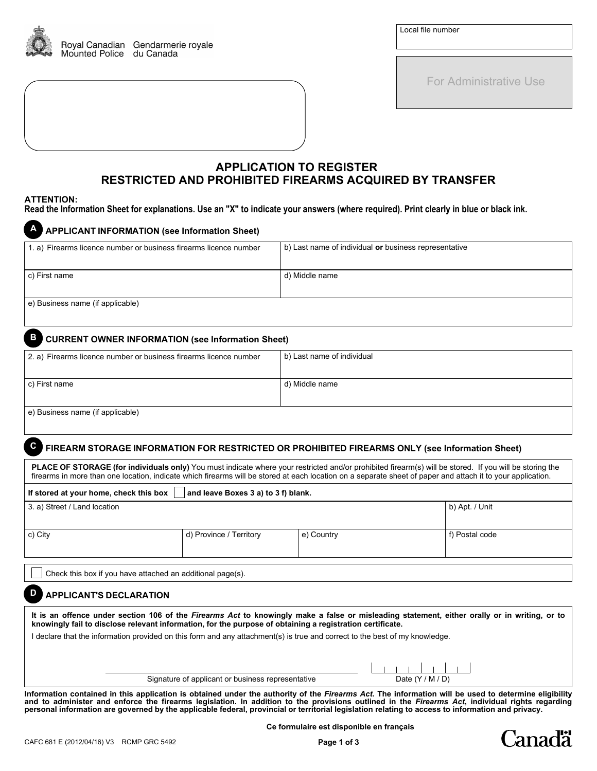

For Administrative Use

### **APPLICATION TO REGISTER RESTRICTED AND PROHIBITED FIREARMS ACQUIRED BY TRANSFER**

#### **ATTENTION:**

**Read the Information Sheet for explanations. Use an "X" to indicate your answers (where required). Print clearly in blue or black ink.** 

| <b>A</b> APPLICANT INFORMATION (see Information Sheet)            |                                                       |
|-------------------------------------------------------------------|-------------------------------------------------------|
| 1. a) Firearms licence number or business firearms licence number | b) Last name of individual or business representative |
|                                                                   |                                                       |
| c) First name                                                     | d) Middle name                                        |
|                                                                   |                                                       |
| e) Business name (if applicable)                                  |                                                       |

### **B CURRENT OWNER INFORMATION (see Information Sheet)**

| 2. a) Firearms licence number or business firearms licence number | b) Last name of individual |
|-------------------------------------------------------------------|----------------------------|
|                                                                   |                            |
| c) First name                                                     | d) Middle name             |
|                                                                   |                            |
| e) Business name (if applicable)                                  |                            |

### **C FIREARM STORAGE INFORMATION FOR RESTRICTED OR PROHIBITED FIREARMS ONLY (see Information Sheet)**

PLACE OF STORAGE (for individuals only) You must indicate where your restricted and/or prohibited firearm(s) will be stored. If you will be storing the firearms in more than one location, indicate which firearms will be stored at each location on a separate sheet of paper and attach it to your application.

| If stored at your home, check this box $\vert$ and leave Boxes 3 a) to 3 f) blank. |  |                |
|------------------------------------------------------------------------------------|--|----------------|
| 3. a) Street / Land location                                                       |  | b) Apt. / Unit |

| c) City | d) Province / Territory | e) Country | f) Postal code |
|---------|-------------------------|------------|----------------|
|         |                         |            |                |

Check this box if you have attached an additional page(s).

#### **D APPLICANT'S DECLARATION**

**It is an offence under section 106 of the** *Firearms Act* **to knowingly make a false or misleading statement, either orally or in writing, or to knowingly fail to disclose relevant information, for the purpose of obtaining a registration certificate.**

I declare that the information provided on this form and any attachment(s) is true and correct to the best of my knowledge.

Signature of applicant or business representative

|  |  | Date $(Y/M/D)$ |  |  |
|--|--|----------------|--|--|

anadä

**Information contained in this application is obtained under the authority of the** *Firearms Act***. The information will be used to determine eligibility** and to administer and enforce the firearms legislation. In addition to the provisions outlined in the *Firearms Act*, individual rights regarding<br>personal information are governed by the applicable federal, provincial or t

**Ce formulaire est disponible en français**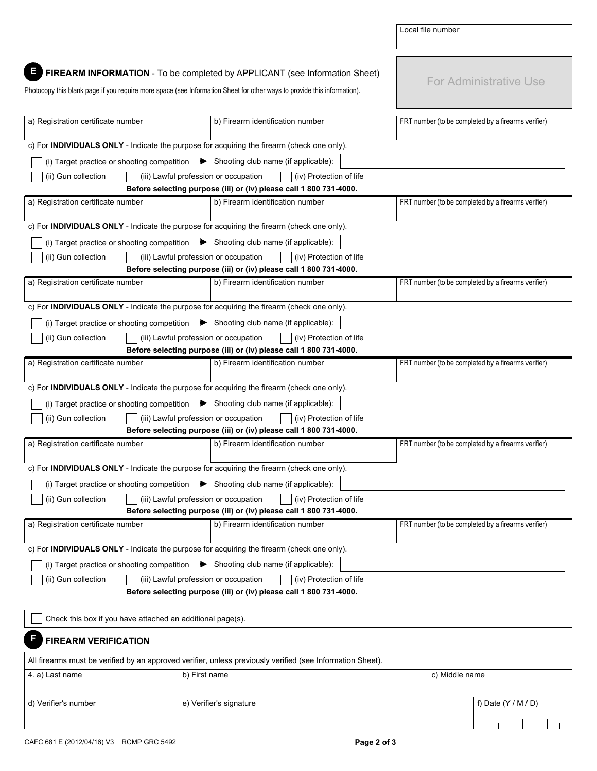|                                                                                                                         |                                                                                                        | Local file number                                   |
|-------------------------------------------------------------------------------------------------------------------------|--------------------------------------------------------------------------------------------------------|-----------------------------------------------------|
|                                                                                                                         |                                                                                                        |                                                     |
|                                                                                                                         | FIREARM INFORMATION - To be completed by APPLICANT (see Information Sheet)                             |                                                     |
| Photocopy this blank page if you require more space (see Information Sheet for other ways to provide this information). |                                                                                                        | <b>For Administrative Use</b>                       |
|                                                                                                                         |                                                                                                        |                                                     |
| a) Registration certificate number                                                                                      | b) Firearm identification number                                                                       | FRT number (to be completed by a firearms verifier) |
| c) For INDIVIDUALS ONLY - Indicate the purpose for acquiring the firearm (check one only).                              |                                                                                                        |                                                     |
| (i) Target practice or shooting competition $\bullet$ Shooting club name (if applicable):                               |                                                                                                        |                                                     |
| (ii) Gun collection<br>(iii) Lawful profession or occupation                                                            | (iv) Protection of life                                                                                |                                                     |
|                                                                                                                         | Before selecting purpose (iii) or (iv) please call 1 800 731-4000.                                     |                                                     |
| a) Registration certificate number                                                                                      | b) Firearm identification number                                                                       | FRT number (to be completed by a firearms verifier) |
| c) For INDIVIDUALS ONLY - Indicate the purpose for acquiring the firearm (check one only).                              |                                                                                                        |                                                     |
| (i) Target practice or shooting competition $\blacktriangleright$ Shooting club name (if applicable):                   |                                                                                                        |                                                     |
| (ii) Gun collection<br>(iii) Lawful profession or occupation                                                            | (iv) Protection of life                                                                                |                                                     |
| a) Registration certificate number                                                                                      | Before selecting purpose (iii) or (iv) please call 1 800 731-4000.<br>b) Firearm identification number | FRT number (to be completed by a firearms verifier) |
|                                                                                                                         |                                                                                                        |                                                     |
| c) For INDIVIDUALS ONLY - Indicate the purpose for acquiring the firearm (check one only).                              |                                                                                                        |                                                     |
| (i) Target practice or shooting competition $\blacktriangleright$ Shooting club name (if applicable):                   |                                                                                                        |                                                     |
| (ii) Gun collection<br>(iii) Lawful profession or occupation                                                            | (iv) Protection of life                                                                                |                                                     |
| a) Registration certificate number                                                                                      | Before selecting purpose (iii) or (iv) please call 1 800 731-4000.<br>b) Firearm identification number | FRT number (to be completed by a firearms verifier) |
|                                                                                                                         |                                                                                                        |                                                     |
| c) For INDIVIDUALS ONLY - Indicate the purpose for acquiring the firearm (check one only).                              |                                                                                                        |                                                     |
| (i) Target practice or shooting competition $\bullet$ Shooting club name (if applicable):                               |                                                                                                        |                                                     |
| (ii) Gun collection<br>(iii) Lawful profession or occupation                                                            | (iv) Protection of life<br>Before selecting purpose (iii) or (iv) please call 1 800 731-4000.          |                                                     |
| a) Registration certificate number                                                                                      | b) Firearm identification number                                                                       | FRT number (to be completed by a firearms verifier) |
|                                                                                                                         |                                                                                                        |                                                     |
| c) For INDIVIDUALS ONLY - Indicate the purpose for acquiring the firearm (check one only).                              |                                                                                                        |                                                     |
| (i) Target practice or shooting competition                                                                             | $\blacktriangleright$ Shooting club name (if applicable):                                              |                                                     |
| (ii) Gun collection<br>(iii) Lawful profession or occupation                                                            | (iv) Protection of life<br>Before selecting purpose (iii) or (iv) please call 1 800 731-4000.          |                                                     |
| a) Registration certificate number                                                                                      | b) Firearm identification number                                                                       | FRT number (to be completed by a firearms verifier) |
|                                                                                                                         |                                                                                                        |                                                     |
| c) For INDIVIDUALS ONLY - Indicate the purpose for acquiring the firearm (check one only).                              |                                                                                                        |                                                     |
| (i) Target practice or shooting competition                                                                             | $\blacktriangleright$ Shooting club name (if applicable):                                              |                                                     |
| (ii) Gun collection<br>(iii) Lawful profession or occupation                                                            | (iv) Protection of life                                                                                |                                                     |
|                                                                                                                         | Before selecting purpose (iii) or (iv) please call 1 800 731-4000.                                     |                                                     |
| Check this box if you have attached an additional page(s).                                                              |                                                                                                        |                                                     |
| <b>FIREARM VERIFICATION</b>                                                                                             |                                                                                                        |                                                     |
| All firearms must be verified by an approved verifier, unless previously verified (see Information Sheet).              |                                                                                                        |                                                     |

| 4. a) Last name      | b) First name           | c) Middle name |                       |
|----------------------|-------------------------|----------------|-----------------------|
| d) Verifier's number | e) Verifier's signature |                | f) Date $(Y / M / D)$ |